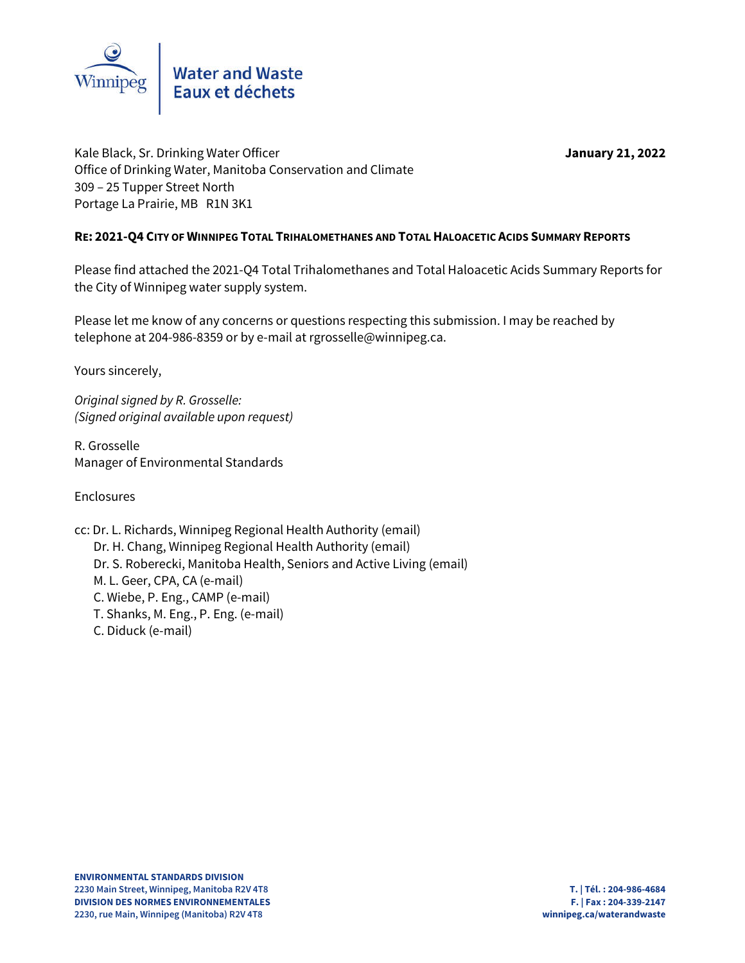

Kale Black, Sr. Drinking Water Officer **January 21, 2022** January 21, 2022 Office of Drinking Water, Manitoba Conservation and Climate 309 – 25 Tupper Street North Portage La Prairie, MB R1N 3K1

#### **RE: 2021-Q4 CITY OF WINNIPEG TOTAL TRIHALOMETHANES AND TOTAL HALOACETIC ACIDS SUMMARY REPORTS**

Please find attached the 2021-Q4 Total Trihalomethanes and Total Haloacetic Acids Summary Reports for the City of Winnipeg water supply system.

Please let me know of any concerns or questions respecting this submission. I may be reached by telephone at 204-986-8359 or by e-mail at rgrosselle@winnipeg.ca.

Yours sincerely,

*Original signed by R. Grosselle: (Signed original available upon request)*

R. Grosselle Manager of Environmental Standards

Enclosures

cc: Dr. L. Richards, Winnipeg Regional Health Authority (email) Dr. H. Chang, Winnipeg Regional Health Authority (email) Dr. S. Roberecki, Manitoba Health, Seniors and Active Living (email) M. L. Geer, CPA, CA (e-mail) C. Wiebe, P. Eng., CAMP (e-mail) T. Shanks, M. Eng., P. Eng. (e-mail) C. Diduck (e-mail)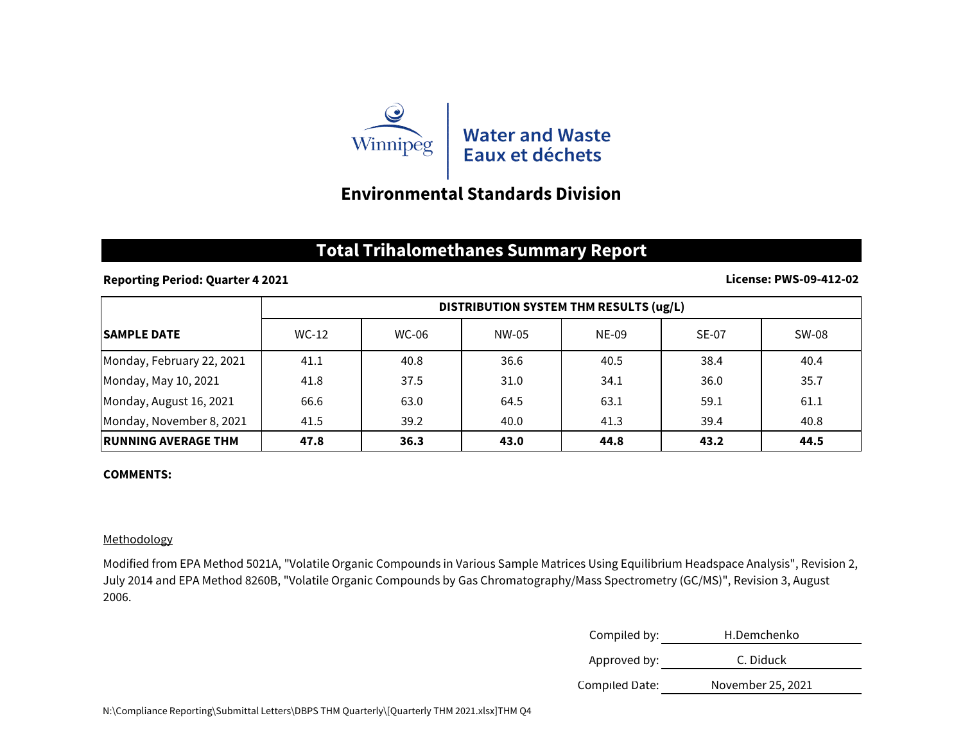

# **Environmental Standards Division**

### **Total Trihalomethanes Summary Report**

#### **Reporting Period: Quarter 4 2021**

#### **License: PWS-09-412-02**

|                             | DISTRIBUTION SYSTEM THM RESULTS (ug/L) |              |       |       |              |       |
|-----------------------------|----------------------------------------|--------------|-------|-------|--------------|-------|
| <b>SAMPLE DATE</b>          | $WC-12$                                | <b>WC-06</b> | NW-05 | NE-09 | <b>SE-07</b> | SW-08 |
| Monday, February 22, 2021   | 41.1                                   | 40.8         | 36.6  | 40.5  | 38.4         | 40.4  |
| Monday, May 10, 2021        | 41.8                                   | 37.5         | 31.0  | 34.1  | 36.0         | 35.7  |
| Monday, August 16, 2021     | 66.6                                   | 63.0         | 64.5  | 63.1  | 59.1         | 61.1  |
| Monday, November 8, 2021    | 41.5                                   | 39.2         | 40.0  | 41.3  | 39.4         | 40.8  |
| <b>IRUNNING AVERAGE THM</b> | 47.8                                   | 36.3         | 43.0  | 44.8  | 43.2         | 44.5  |

#### **COMMENTS:**

#### Methodology

Modified from EPA Method 5021A, "Volatile Organic Compounds in Various Sample Matrices Using Equilibrium Headspace Analysis", Revision 2, July 2014 and EPA Method 8260B, "Volatile Organic Compounds by Gas Chromatography/Mass Spectrometry (GC/MS)", Revision 3, August 2006.

| Compiled by:   | H.Demchenko       |  |
|----------------|-------------------|--|
| Approved by:   | C. Diduck         |  |
| Compiled Date: | November 25, 2021 |  |